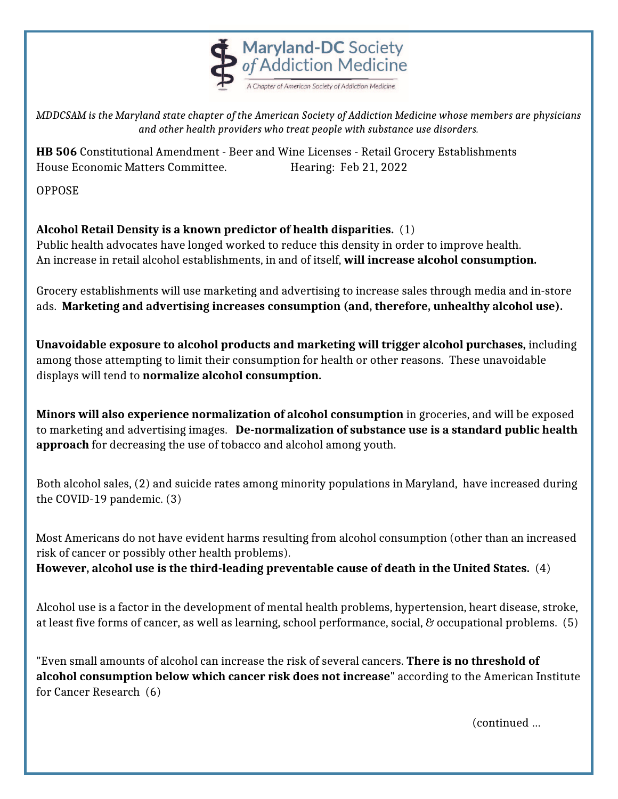

*MDDCSAM is the Maryland state chapter of the American Society of Addiction Medicine whose members are physicians and other health providers who treat people with substance use disorders.*

**HB 506** Constitutional Amendment - Beer and Wine Licenses - Retail Grocery Establishments House Economic Matters Committee. Hearing: Feb 21, 2022

OPPOSE

## **Alcohol Retail Density is a known predictor of health disparities.** (1)

Public health advocates have longed worked to reduce this density in order to improve health. An increase in retail alcohol establishments, in and of itself, **will increase alcohol consumption.**

Grocery establishments will use marketing and advertising to increase sales through media and in-store ads. **Marketing and advertising increases consumption (and, therefore, unhealthy alcohol use).**

**Unavoidable exposure to alcohol products and marketing will trigger alcohol purchases,** including among those attempting to limit their consumption for health or other reasons. These unavoidable displays will tend to **normalize alcohol consumption.**

**Minors will also experience normalization of alcohol consumption** in groceries, and will be exposed to marketing and advertising images. **De-normalization of substance use is a standard public health approach** for decreasing the use of tobacco and alcohol among youth.

Both alcohol sales, (2) and suicide rates among minority populations in Maryland, have increased during the COVID-19 pandemic. (3)

Most Americans do not have evident harms resulting from alcohol consumption (other than an increased risk of cancer or possibly other health problems).

**However, alcohol use is the third-leading preventable cause of death in the United States.** (4)

Alcohol use is a factor in the development of mental health problems, hypertension, heart disease, stroke, at least five forms of cancer, as well as learning, school performance, social, & occupational problems. (5)

"Even small amounts of alcohol can increase the risk of several cancers. **There is no threshold of alcohol consumption below which cancer risk does not increase**" according to the American Institute for Cancer Research (6)

(continued …